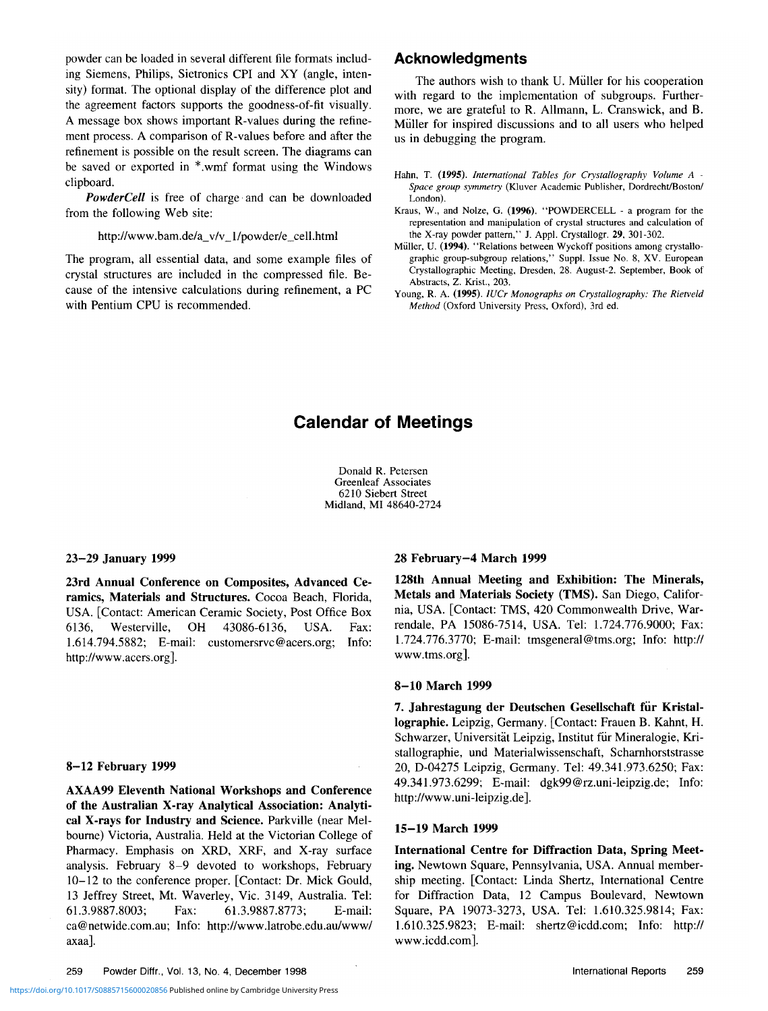powder can be loaded in several different file formats including Siemens, Philips, Sietronics CPI and XY (angle, intensity) format. The optional display of the difference plot and the agreement factors supports the goodness-of-fit visually. A message box shows important R-values during the refinement process. A comparison of R-values before and after the refinement is possible on the result screen. The diagrams can be saved or exported in \*.wmf format using the Windows clipboard.

*PowderCell* is free of charge and can be downloaded from the following Web site:

http://www.bam.de/a\_v/v\_l/powder/e\_cell.html

The program, all essential data, and some example files of crystal structures are included in the compressed file. Because of the intensive calculations during refinement, a PC with Pentium CPU is recommended.

# **Acknowledgments**

The authors wish to thank U. Miiller for his cooperation with regard to the implementation of subgroups. Furthermore, we are grateful to R. Allmann, L. Cranswick, and B. Miiller for inspired discussions and to all users who helped us in debugging the program.

- Kraus, W., and Nolze, G. (1996). "POWDERCELL a program for the representation and manipulation of crystal structures and calculation of the X-ray powder pattern," J. Appl. Crystallogr. 29, 301-302.
- Miiller, U. (1994). "Relations between Wyckoff positions among crystallographic group-subgroup relations," Suppl. Issue No. 8, XV. European Crystallographic Meeting, Dresden, 28. August-2. September, Book of Abstracts, Z. Krist., 203.
- Young, R. A. (1995). *IUCr Monographs on Crystallography: The Rietveld Method* (Oxford University Press, Oxford), 3rd ed.

# **Calendar of Meetings**

Donald R. Petersen Greenleaf Associates 6210 Siebert Street Midland, MI 48640-2724

#### **23-29 January 1999**

**23rd Annual Conference on Composites, Advanced Ceramics, Materials and Structures.** Cocoa Beach, Florida, USA. [Contact: American Ceramic Society, Post Office Box 6136, Westerville, OH 43086-6136, USA. Fax: 1.614.794.5882; E-mail: customersrvc@acers.org; Info: http://www.acers.org].

### **8-12 February 1999**

**AXAA99 Eleventh National Workshops and Conference of the Australian X-ray Analytical Association: Analytical X-rays for Industry and Science.** Parkville (near Melbourne) Victoria, Australia. Held at the Victorian College of Pharmacy. Emphasis on XRD, XRF, and X-ray surface analysis. February 8-9 devoted to workshops, February 10-12 to the conference proper. [Contact: Dr. Mick Gould, 13 Jeffrey Street, Mt. Waverley, Vic. 3149, Australia. Tel: 61.3.9887.8003; Fax: 61.3.9887.8773; E-mail: ca@netwide.com.au; Info: http://www.latrobe.edu.au/www/ axaa].

#### **28 February-4 March 1999**

**128th Annual Meeting and Exhibition: The Minerals, Metals and Materials Society (TMS).** San Diego, California, USA. [Contact: TMS, 420 Commonwealth Drive, Warrendale, PA 15086-7514, USA. Tel: 1.724.776.9000; Fax: 1.724.776.3770; E-mail: tmsgeneral@tms.org; Info: http:// www.tms.org].

### **8-10 March 1999**

**7. Jahrestagung der Deutschen Gesellschaft fur Kristallographie.** Leipzig, Germany. [Contact: Frauen B. Kahnt, H. Schwarzer, Universität Leipzig, Institut für Mineralogie, Kristallographie, und Materialwissenschaft, Scharnhorststrasse 20, D-04275 Leipzig, Germany. Tel: 49.341.973.6250; Fax: 49.341.973.6299; E-mail: dgk99@rz.uni-leipzig.de; Info: http://www.uni-leipzig.de].

#### **15-19 March 1999**

**International Centre for Diffraction Data, Spring Meeting.** Newtown Square, Pennsylvania, USA. Annual membership meeting. [Contact: Linda Shertz, International Centre for Diffraction Data, 12 Campus Boulevard, Newtown Square, PA 19073-3273, USA. Tel: 1.610.325.9814; Fax: 1.610.325.9823; E-mail: shertz@icdd.com; Info: http:// www.icdd.com].

Hahn, T. (1995). *International Tables for Crystallography Volume A - Space group symmetry* (Kluver Academic Publisher, Dordrecht/Boston/ London).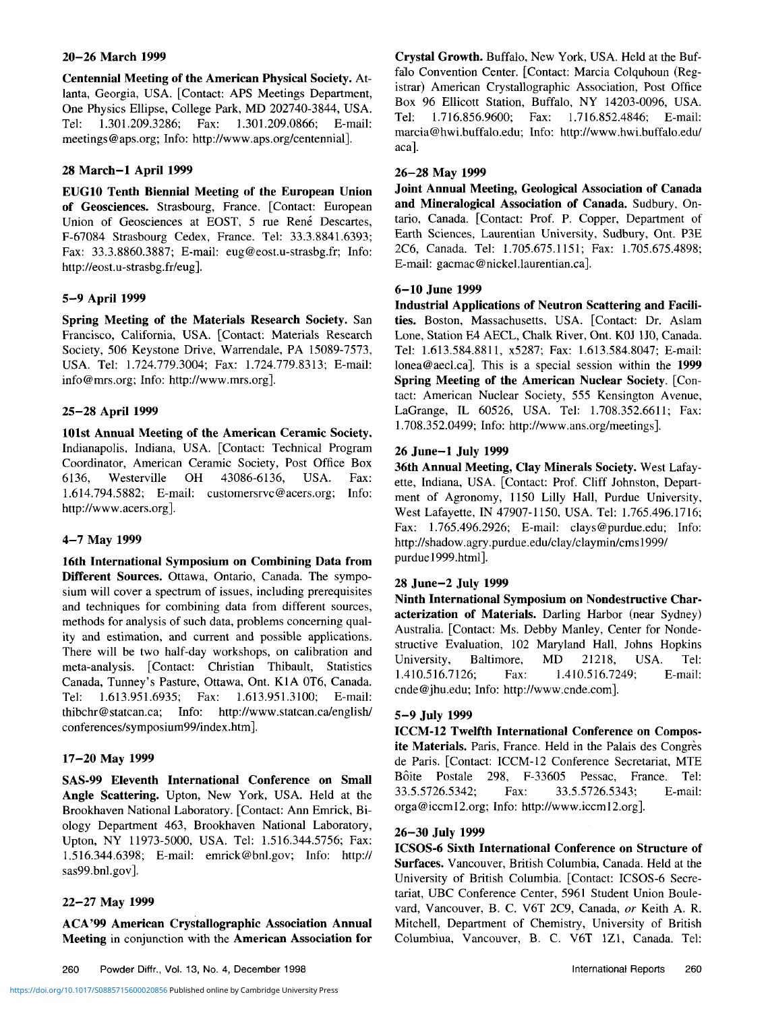### **20-26 March 1999**

**Centennial Meeting of the American Physical Society.** Atlanta, Georgia, USA. [Contact: APS Meetings Department, One Physics Ellipse, College Park, MD 202740-3844, USA. Tel: 1.301.209.3286; Fax: 1.301.209.0866; E-mail: meetings@aps.org; Info: http://www.aps.org/centennial].

### **28 March-1 April 1999**

**EUG10 Tenth Biennial Meeting of the European Union of Geosciences.** Strasbourg, France. [Contact: European Union of Geosciences at EOST, 5 rue René Descartes, F-67084 Strasbourg Cedex, France. Tel: 33.3.8841.6393; Fax: 33.3.8860.3887; E-mail: eug@eost.u-strasbg.fr; Info: http://eost.u-strasbg.fr/eug].

### **5-9 April 1999**

**Spring Meeting of the Materials Research Society.** San Francisco, California, USA. [Contact: Materials Research Society, 506 Keystone Drive, Warrendale, PA 15089-7573, USA. Tel: 1.724.779.3004; Fax: 1.724.779.8313; E-mail: info@mrs.org; Info: http://www.mrs.org].

### **25-28 April 1999**

**101st Annual Meeting of the American Ceramic Society.** Indianapolis, Indiana, USA. [Contact: Technical Program Coordinator, American Ceramic Society, Post Office Box 6136, Westerville OH 43086-6136, USA. Fax: 1.614.794.5882; E-mail: customersrvc@acers.org; Info: http://www.acers.org].

### **4-7 May 1999**

**16th International Symposium on Combining Data from Different Sources.** Ottawa, Ontario, Canada. The symposium will cover a spectrum of issues, including prerequisites and techniques for combining data from different sources, methods for analysis of such data, problems concerning quality and estimation, and current and possible applications. There will be two half-day workshops, on calibration and meta-analysis. [Contact: Christian Thibault, Statistics Canada, Tunney's Pasture, Ottawa, Ont. K1A 0T6, Canada. Tel: 1.613.951.6935; Fax: 1.613.951.3100; E-mail: thibchr@statcan.ca; Info: http://www.statcan.ca/english/ conferences/symposium99/index.htm].

#### **17-20 May 1999**

**SAS-99 Eleventh International Conference on Small Angle Scattering.** Upton, New York, USA. Held at the Brookhaven National Laboratory. [Contact: Ann Emrick, Biology Department 463, Brookhaven National Laboratory, Upton, NY 11973-5000, USA. Tel: 1.516.344.5756; Fax: 1.516.344.6398; E-mail: emrick@bnl.gov; Info: http:// sas99.bnl.gov].

#### **22-27 May 1999**

**ACA'99 American Crystallographic Association Annual Meeting** in conjunction with the **American Association for** **Crystal Growth.** Buffalo, New York, USA. Held at the Buffalo Convention Center. [Contact: Marcia Colquhoun (Registrar) American Crystallographic Association, Post Office Box 96 Ellicott Station, Buffalo, NY 14203-0096, USA. Tel: 1.716.856.9600; Fax: 1.716.852.4846; E-mail: marcia@hwi.buffalo.edu; Info: http://www.hwi.buffalo.edu/ aca].

#### **26-28 May 1999**

**Joint Annual Meeting, Geological Association of Canada and Mineralogical Association of Canada.** Sudbury, Ontario, Canada. [Contact: Prof. P. Copper, Department of Earth Sciences, Laurentian University, Sudbury, Ont. P3E 2C6, Canada. Tel: 1.705.675.1151; Fax: 1.705.675.4898; E-mail: gacmac@nickel.laurentian.ca].

# **6-10 June 1999**

**Industrial Applications of Neutron Scattering and Facilities.** Boston, Massachusetts, USA. [Contact: Dr. Aslam Lone, Station E4 AECL, Chalk River, Ont. KOJ 1J0, Canada. Tel: 1.613.584.8811, x5287; Fax: 1.613.584.8047; E-mail: lonea@aecl.ca]. This is a special session within the **1999 Spring Meeting of the American Nuclear Society.** [Contact: American Nuclear Society, 555 Kensington Avenue, LaGrange, IL 60526, USA. Tel: 1.708.352.6611; Fax: 1.708.352.0499; Info: http://www.ans.org/meetings].

### **26 June-1 July 1999**

**36th Annual Meeting, Clay Minerals Society.** West Lafayette, Indiana, USA. [Contact: Prof. Cliff Johnston, Department of Agronomy, 1150 Lilly Hall, Purdue University, West Lafayette, IN 47907-1150, USA. Tel: 1.765.496.1716; Fax: 1.765.496.2926; E-mail: clays@purdue.edu; Info: http://shadow.agry.purdue.edu/clay/claymin/cms 1999/ purduel999.html].

#### **28 June-2 July 1999**

**Ninth International Symposium on Nondestructive Characterization of Materials.** Darling Harbor (near Sydney) Australia. [Contact: Ms. Debby Manley, Center for Nondestructive Evaluation, 102 Maryland Hall, Johns Hopkins University, Baltimore, MD 21218, USA. Tel: 1.410.516.7126; Fax: 1.410.516.7249; E-mail: cnde@jhu.edu; Info: http://www.cnde.com].

# **5-9 July 1999**

**ICCM-12 Twelfth International Conference on Compos**ite Materials. Paris, France. Held in the Palais des Congrès de Paris. [Contact: ICCM-12 Conference Secretariat, MTE Bôite Postale 298, F-33605 Pessac, France. Tel: 33.5.5726.5342; Fax: 33.5.5726.5343; E-mail: orga@iccml2.org; Info: http://www.iccml2.org].

#### **26-30 July 1999**

**ICSOS-6 Sixth International Conference on Structure of Surfaces.** Vancouver, British Columbia, Canada. Held at the University of British Columbia. [Contact: ICSOS-6 Secretariat, UBC Conference Center, 5961 Student Union Boulevard, Vancouver, B. C. V6T 2C9, Canada, *or* Keith A. R. Mitchell, Department of Chemistry, University of British Columbiua, Vancouver, B. C. V6T 1Z1, Canada. Tel: